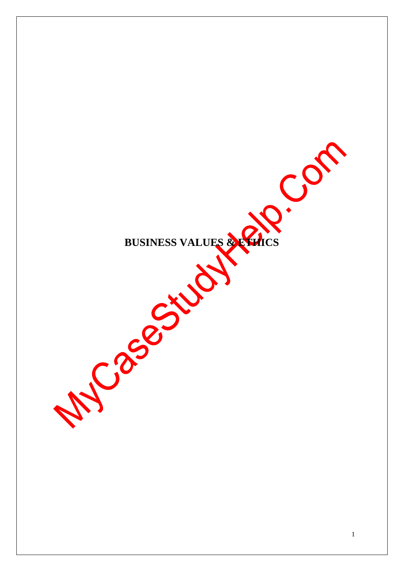BUSINESS VALUES & ENTICS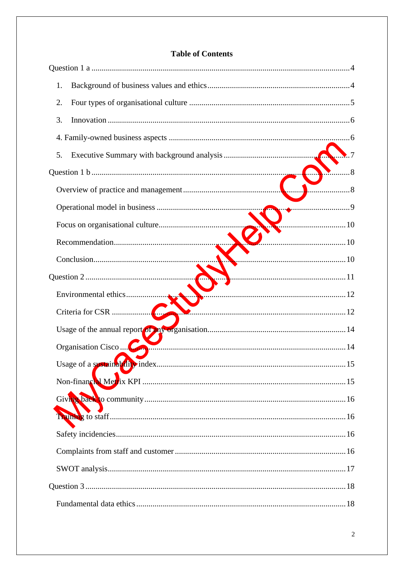|  | <b>Table of Contents</b> |
|--|--------------------------|
|--|--------------------------|

| 1.                 |     |
|--------------------|-----|
| 2.                 |     |
| 3.                 |     |
|                    |     |
| 5.                 |     |
|                    | 8   |
|                    | . 8 |
|                    |     |
|                    |     |
|                    |     |
|                    |     |
|                    |     |
|                    |     |
|                    |     |
|                    |     |
| Organisation Cisco |     |
|                    |     |
|                    |     |
|                    |     |
|                    |     |
|                    |     |
|                    |     |
|                    |     |
|                    |     |
|                    | .18 |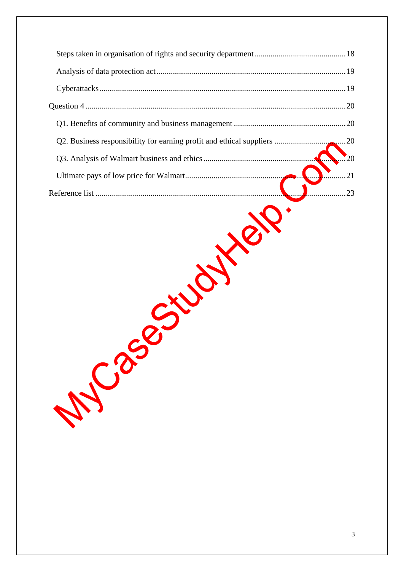| Q2. Business responsibility for earning profit and ethical suppliers | 20 |
|----------------------------------------------------------------------|----|
|                                                                      |    |
|                                                                      |    |
|                                                                      |    |
|                                                                      |    |
| M Cas                                                                |    |

 $\overline{3}$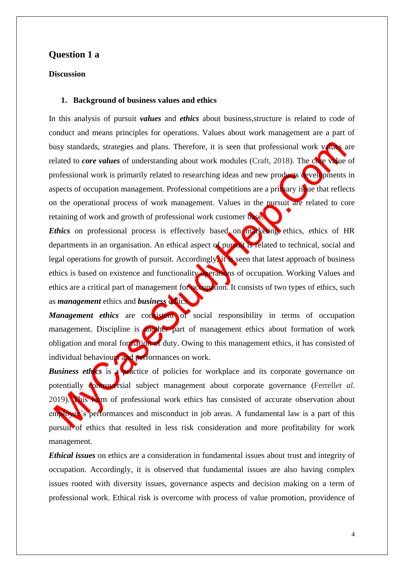## <span id="page-3-0"></span>**Question 1 a**

#### <span id="page-3-1"></span>**Discussion**

#### **1. Background of business values and ethics**

In this analysis of pursuit *values* and *ethics* about business,structure is related to code of conduct and means principles for operations. Values about work management are a part of busy standards, strategies and plans. Therefore, it is seen that professional work values are related to *core values* of understanding about work modules (Craft, 2018). The core value of professional work is primarily related to researching ideas and new products developments in aspects of occupation management. Professional competitions are a primary issue that reflects on the operational process of work management. Values in the pursuit are related to core retaining of work and growth of professional work customer base.

*Ethics* on professional process is effectively based on marketing ethics, ethics of HR departments in an organisation. An ethical aspect of purcent is related to technical, social and legal operations for growth of pursuit. Accordingly, it is seen that latest approach of business ethics is based on existence and functionality operations of occupation. Working Values and ethics are a critical part of management for **occupation**. It consists of two types of ethics, such as *management* ethics and *business* ethics.

*Management ethics* are consistent of social responsibility in terms of occupation management. Discipline is another part of management ethics about formation of work obligation and moral formation of duty. Owing to this management ethics, it has consisted of individual behaviours and performances on work.

*Business ethics* is a practice of policies for workplace and its corporate governance on potentially controversial subject management about corporate governance (Ferrell*et al.*) 2019). This form of professional work ethics has consisted of accurate observation about employee's performances and misconduct in job areas. A fundamental law is a part of this pursuit of ethics that resulted in less risk consideration and more profitability for work management.

*Ethical issues* on ethics are a consideration in fundamental issues about trust and integrity of occupation. Accordingly, it is observed that fundamental issues are also having complex issues rooted with diversity issues, governance aspects and decision making on a term of professional work. Ethical risk is overcome with process of value promotion, providence of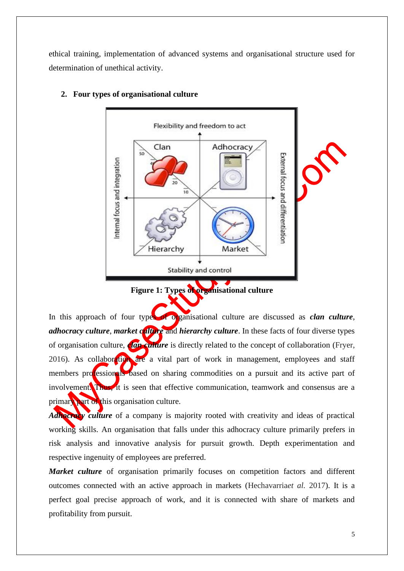ethical training, implementation of advanced systems and organisational structure used for determination of unethical activity.



## <span id="page-4-0"></span>**2. Four types of organisational culture**

**Figure 1: Types of organisational culture**

In this approach of four types of organisational culture are discussed as *clan culture*, *adhocracy culture, market culture* and *hierarchy culture*. In these facts of four diverse types of organisation culture, *clan culture* is directly related to the concept of collaboration (Fryer, 2016). As collaboration are a vital part of work in management, employees and staff members professionals based on sharing commodities on a pursuit and its active part of involvement. Thus, it is seen that effective communication, teamwork and consensus are a primary part of this organisation culture.

*Adhocracy culture* of a company is majority rooted with creativity and ideas of practical working skills. An organisation that falls under this adhocracy culture primarily prefers in risk analysis and innovative analysis for pursuit growth. Depth experimentation and respective ingenuity of employees are preferred.

*Market culture* of organisation primarily focuses on competition factors and different outcomes connected with an active approach in markets (Hechavarria*et al.* 2017). It is a perfect goal precise approach of work, and it is connected with share of markets and profitability from pursuit.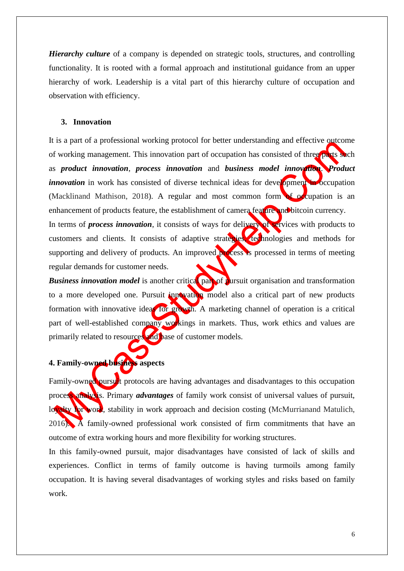*Hierarchy culture* of a company is depended on strategic tools, structures, and controlling functionality. It is rooted with a formal approach and institutional guidance from an upper hierarchy of work. Leadership is a vital part of this hierarchy culture of occupation and observation with efficiency.

#### <span id="page-5-0"></span>**3. Innovation**

It is a part of a professional working protocol for better understanding and effective outcome of working management. This innovation part of occupation has consisted of three parts such as *product innovation*, *process innovation* and *business model innovation*. *Product innovation* in work has consisted of diverse technical ideas for development in occupation (Macklinand Mathison, 2018). A regular and most common form of occupation is an enhancement of products feature, the establishment of camera feature and bitcoin currency. In terms of *process innovation*, it consists of ways for delivery of services with products to customers and clients. It consists of adaptive strategies, technologies and methods for supporting and delivery of products. An improved process is processed in terms of meeting regular demands for customer needs.

**Business innovation model** is another critical part of pursuit organisation and transformation to a more developed one. Pursuit innovation model also a critical part of new products formation with innovative ideas for growth. A marketing channel of operation is a critical part of well-established company workings in markets. Thus, work ethics and values are primarily related to resources and base of customer models.

# <span id="page-5-1"></span>**4. Family-owned business aspects**

Family-owned pursuit protocols are having advantages and disadvantages to this occupation process analysis. Primary *advantages* of family work consist of universal values of pursuit, lowalty for work, stability in work approach and decision costing (McMurrianand Matulich, 2016). A family-owned professional work consisted of firm commitments that have an outcome of extra working hours and more flexibility for working structures.

In this family-owned pursuit, major disadvantages have consisted of lack of skills and experiences. Conflict in terms of family outcome is having turmoils among family occupation. It is having several disadvantages of working styles and risks based on family work.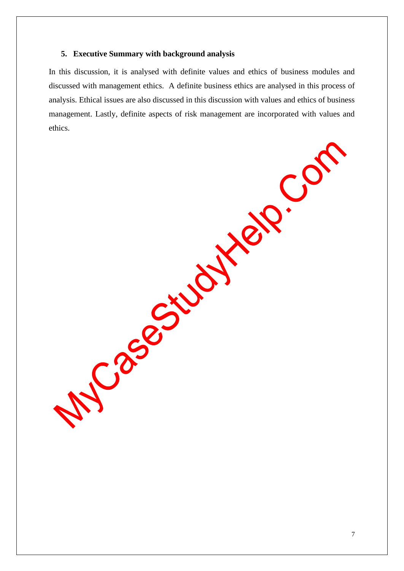## <span id="page-6-0"></span>**5. Executive Summary with background analysis**

In this discussion, it is analysed with definite values and ethics of business modules and discussed with management ethics. A definite business ethics are analysed in this process of analysis. Ethical issues are also discussed in this discussion with values and ethics of business management. Lastly, definite aspects of risk management are incorporated with values and ethics.

Josephylate.com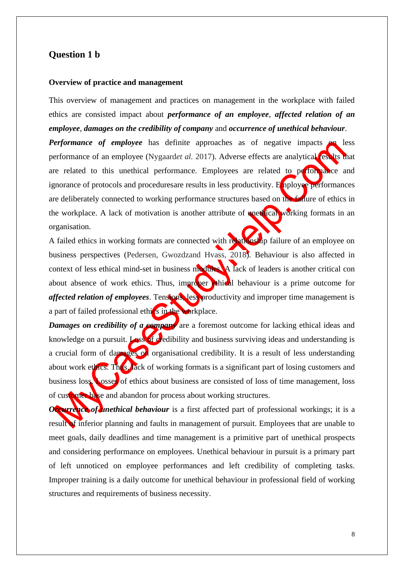## <span id="page-7-0"></span>**Question 1 b**

#### <span id="page-7-1"></span>**Overview of practice and management**

This overview of management and practices on management in the workplace with failed ethics are consisted impact about *performance of an employee*, *affected relation of an employee*, *damages on the credibility of company* and *occurrence of unethical behaviour*.

*Performance of employee* has definite approaches as of negative impacts on less performance of an employee (Nygaard*et al.* 2017). Adverse effects are analytical results that are related to this unethical performance. Employees are related to performance and ignorance of protocols and proceduresare results in less productivity. Employee performances are deliberately connected to working performance structures based on the failure of ethics in the workplace. A lack of motivation is another attribute of **unethical working** formats in an organisation.

A failed ethics in working formats are connected with relationship failure of an employee on business perspectives (Pedersen, Gwozdzand Hvass, 2018). Behaviour is also affected in context of less ethical mind-set in business modules. A lack of leaders is another critical con about absence of work ethics. Thus, improper ethical behaviour is a prime outcome for *affected relation of employees*. Tensions, less productivity and improper time management is a part of failed professional ethics in the workplace.

*Damages on credibility of a company* are a foremost outcome for lacking ethical ideas and knowledge on a pursuit. Loss of credibility and business surviving ideas and understanding is a crucial form of damages on organisational credibility. It is a result of less understanding about work ethics. These lack of working formats is a significant part of losing customers and business loss. Losses of ethics about business are consisted of loss of time management, loss of customer base and abandon for process about working structures.

*Occurrence of unethical behaviour* is a first affected part of professional workings; it is a result of inferior planning and faults in management of pursuit. Employees that are unable to meet goals, daily deadlines and time management is a primitive part of unethical prospects and considering performance on employees. Unethical behaviour in pursuit is a primary part of left unnoticed on employee performances and left credibility of completing tasks. Improper training is a daily outcome for unethical behaviour in professional field of working structures and requirements of business necessity.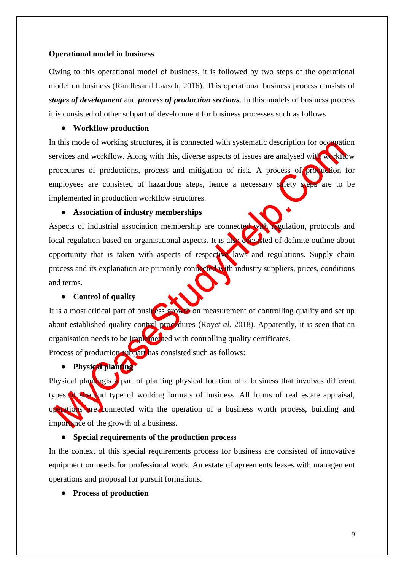#### <span id="page-8-0"></span>**Operational model in business**

Owing to this operational model of business, it is followed by two steps of the operational model on business (Randlesand Laasch, 2016). This operational business process consists of *stages of development* and *process of production sections*. In this models of business process it is consisted of other subpart of development for business processes such as follows

### ● **Workflow production**

In this mode of working structures, it is connected with systematic description for occupation services and workflow. Along with this, diverse aspects of issues are analysed with workflow procedures of productions, process and mitigation of risk. A process of production for employees are consisted of hazardous steps, hence a necessary safety steps are to be implemented in production workflow structures.

## ● **Association of industry memberships**

Aspects of industrial association membership are connected with regulation, protocols and local regulation based on organisational aspects. It is also consisted of definite outline about opportunity that is taken with aspects of respective laws and regulations. Supply chain process and its explanation are primarily connected with industry suppliers, prices, conditions and terms.

## ● **Control of quality**

It is a most critical part of business growth on measurement of controlling quality and set up about established quality control procedures (Royet al. 2018). Apparently, it is seen that an organisation needs to be implemented with controlling quality certificates.

Process of production subpart has consisted such as follows:

#### ● **Physical planting**

Physical plantingis a part of planting physical location of a business that involves different types of site and type of working formats of business. All forms of real estate appraisal, operations are connected with the operation of a business worth process, building and importance of the growth of a business.

## ● **Special requirements of the production process**

In the context of this special requirements process for business are consisted of innovative equipment on needs for professional work. An estate of agreements leases with management operations and proposal for pursuit formations.

● **Process of production**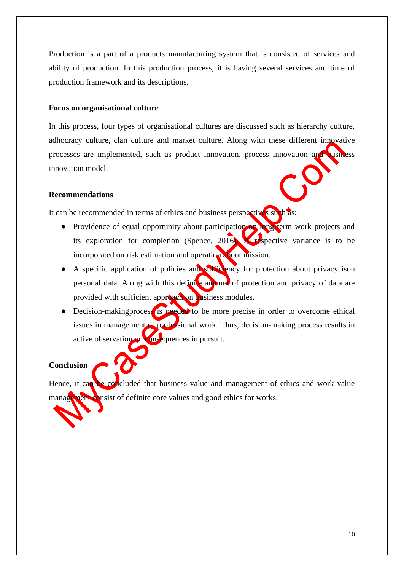Production is a part of a products manufacturing system that is consisted of services and ability of production. In this production process, it is having several services and time of production framework and its descriptions.

#### <span id="page-9-0"></span>**Focus on organisational culture**

In this process, four types of organisational cultures are discussed such as hierarchy culture, adhocracy culture, clan culture and market culture. Along with these different innovative processes are implemented, such as product innovation, process innovation and business innovation model.

#### <span id="page-9-1"></span>**Recommendations**

It can be recommended in terms of ethics and business perspectives such as:

- Providence of equal opportunity about participation on long term work projects and its exploration for completion (Spence, 2016). A respective variance is to be incorporated on risk estimation and operation about mission.
- A specific application of policies and sufficiency for protection about privacy ison personal data. Along with this definite amount of protection and privacy of data are provided with sufficient approach on business modules.
- Decision-makingprocess is needed to be more precise in order to overcome ethical issues in management of professional work. Thus, decision-making process results in active observation on consequences in pursuit.

#### <span id="page-9-2"></span>**Conclusion**

Hence, it can be concluded that business value and management of ethics and work value management consist of definite core values and good ethics for works.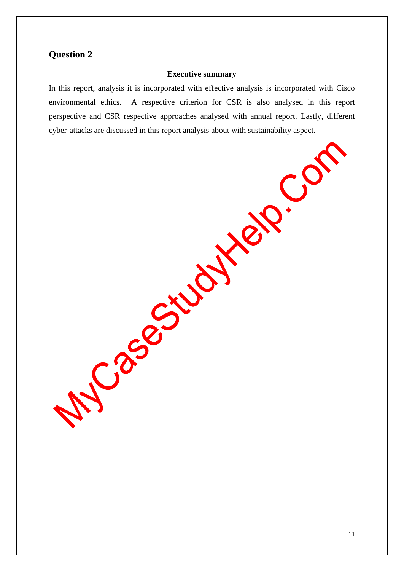# <span id="page-10-0"></span>**Question 2**

## **Executive summary**

In this report, analysis it is incorporated with effective analysis is incorporated with Cisco environmental ethics. A respective criterion for CSR is also analysed in this report perspective and CSR respective approaches analysed with annual report. Lastly, different cyber-attacks are discussed in this report analysis about with sustainability aspect.

Josephysics

R.CO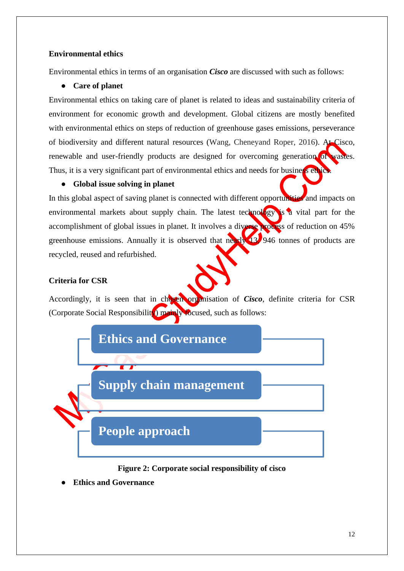## <span id="page-11-0"></span>**Environmental ethics**

Environmental ethics in terms of an organisation *Cisco* are discussed with such as follows:

## ● **Care of planet**

Environmental ethics on taking care of planet is related to ideas and sustainability criteria of environment for economic growth and development. Global citizens are mostly benefited with environmental ethics on steps of reduction of greenhouse gases emissions, perseverance of biodiversity and different natural resources (Wang, Cheneyand Roper, 2016). At Cisco, renewable and user-friendly products are designed for overcoming generation of wastes. Thus, it is a very significant part of environmental ethics and needs for business ethics.

## ● **Global issue solving in planet**

In this global aspect of saving planet is connected with different opportunities and impacts on environmental markets about supply chain. The latest technology is a vital part for the accomplishment of global issues in planet. It involves a diverse process of reduction on 45% greenhouse emissions. Annually it is observed that nearly 13, 946 tonnes of products are recycled, reused and refurbished.

## <span id="page-11-1"></span>**Criteria for CSR**

Accordingly, it is seen that in chosen organisation of *Cisco*, definite criteria for CSR (Corporate Social Responsibility) mainly focused, such as follows:



## **Figure 2: Corporate social responsibility of cisco**

**Ethics and Governance**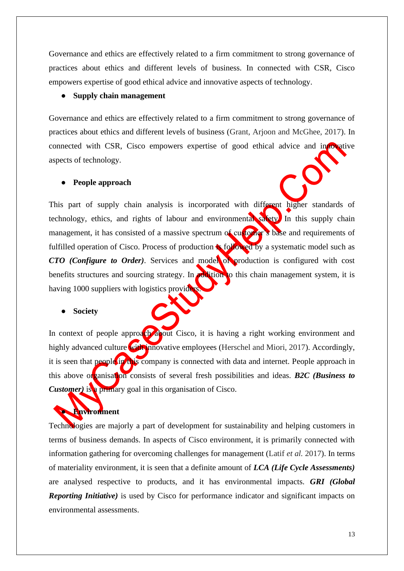Governance and ethics are effectively related to a firm commitment to strong governance of practices about ethics and different levels of business. In connected with CSR, Cisco empowers expertise of good ethical advice and innovative aspects of technology.

## ● **Supply chain management**

Governance and ethics are effectively related to a firm commitment to strong governance of practices about ethics and different levels of business (Grant, Arjoon and McGhee, 2017). In connected with CSR, Cisco empowers expertise of good ethical advice and innovative aspects of technology.

#### ● **People approach**

This part of supply chain analysis is incorporated with different higher standards of technology, ethics, and rights of labour and environmental safety. In this supply chain management, it has consisted of a massive spectrum of customer's base and requirements of fulfilled operation of Cisco. Process of production **is followed** by a systematic model such as *CTO (Configure to Order)*. Services and model of production is configured with cost benefits structures and sourcing strategy. In distribution to this chain management system, it is having 1000 suppliers with logistics providers.

#### ● **Society**

In context of people approach about Cisco, it is having a right working environment and highly advanced culture with innovative employees (Herschel and Miori, 2017). Accordingly, it is seen that people in this company is connected with data and internet. People approach in this above organisation consists of several fresh possibilities and ideas. *B2C (Business to Customer*) is a primary goal in this organisation of Cisco.

# ● **Environment**

Technologies are majorly a part of development for sustainability and helping customers in terms of business demands. In aspects of Cisco environment, it is primarily connected with information gathering for overcoming challenges for management (Latif *et al.* 2017). In terms of materiality environment, it is seen that a definite amount of *LCA (Life Cycle Assessments)* are analysed respective to products, and it has environmental impacts. *GRI (Global Reporting Initiative)* is used by Cisco for performance indicator and significant impacts on environmental assessments.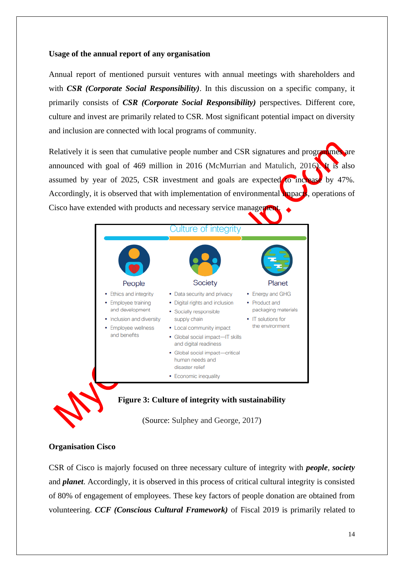## <span id="page-13-0"></span>**Usage of the annual report of any organisation**

Annual report of mentioned pursuit ventures with annual meetings with shareholders and with *CSR (Corporate Social Responsibility)*. In this discussion on a specific company, it primarily consists of *CSR (Corporate Social Responsibility)* perspectives. Different core, culture and invest are primarily related to CSR. Most significant potential impact on diversity and inclusion are connected with local programs of community.

Relatively it is seen that cumulative people number and CSR signatures and programmes are announced with goal of 469 million in 2016 (McMurrian and Matulich, 2016). It is also assumed by year of 2025, CSR investment and goals are expected to increase by 47%. Accordingly, it is observed that with implementation of environmental **impacts**, operations of Cisco have extended with products and necessary service management.



## **Figure 3: Culture of integrity with sustainability**

(Source: Sulphey and George, 2017)

## <span id="page-13-1"></span>**Organisation Cisco**

CSR of Cisco is majorly focused on three necessary culture of integrity with *people*, *society*  and *planet*. Accordingly, it is observed in this process of critical cultural integrity is consisted of 80% of engagement of employees. These key factors of people donation are obtained from volunteering. *CCF (Conscious Cultural Framework)* of Fiscal 2019 is primarily related to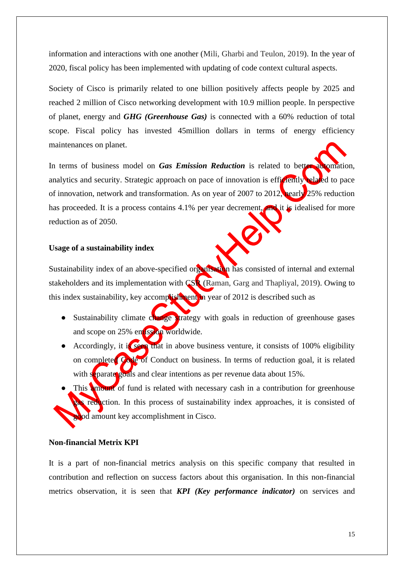information and interactions with one another (Mili, Gharbi and Teulon, 2019). In the year of 2020, fiscal policy has been implemented with updating of code context cultural aspects.

Society of Cisco is primarily related to one billion positively affects people by 2025 and reached 2 million of Cisco networking development with 10.9 million people. In perspective of planet, energy and *GHG (Greenhouse Gas)* is connected with a 60% reduction of total scope. Fiscal policy has invested 45million dollars in terms of energy efficiency maintenances on planet.

In terms of business model on *Gas Emission Reduction* is related to better automation, analytics and security. Strategic approach on pace of innovation is efficiently related to pace of innovation, network and transformation. As on year of 2007 to 2012, nearly 25% reduction has proceeded. It is a process contains 4.1% per year decrement, and it is idealised for more reduction as of 2050.

#### <span id="page-14-0"></span>**Usage of a sustainability index**

Sustainability index of an above-specified organisation has consisted of internal and external stakeholders and its implementation with CSR (Raman, Garg and Thapliyal, 2019). Owing to this index sustainability, key accomplishment in year of 2012 is described such as

- Sustainability climate change strategy with goals in reduction of greenhouse gases and scope on 25% entission worldwide.
- Accordingly, it is seen that in above business venture, it consists of 100% eligibility on completed Code of Conduct on business. In terms of reduction goal, it is related with separate goals and clear intentions as per revenue data about 15%.
- This amount of fund is related with necessary cash in a contribution for greenhouse gas reduction. In this process of sustainability index approaches, it is consisted of god amount key accomplishment in Cisco.

## <span id="page-14-1"></span>**Non-financial Metrix KPI**

It is a part of non-financial metrics analysis on this specific company that resulted in contribution and reflection on success factors about this organisation. In this non-financial metrics observation, it is seen that *KPI (Key performance indicator)* on services and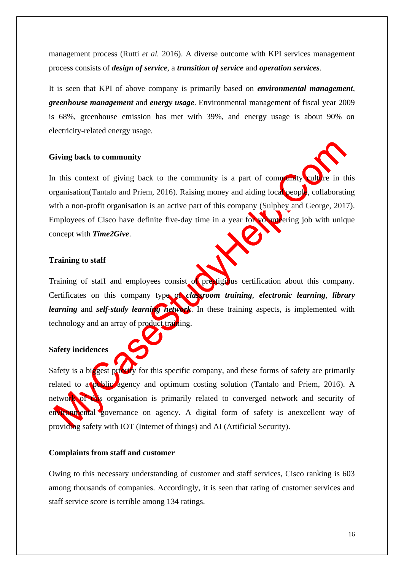management process (Rutti *et al.* 2016). A diverse outcome with KPI services management process consists of *design of service*, a *transition of service* and *operation services*.

It is seen that KPI of above company is primarily based on *environmental management*, *greenhouse management* and *energy usage*. Environmental management of fiscal year 2009 is 68%, greenhouse emission has met with 39%, and energy usage is about 90% on electricity-related energy usage.

## <span id="page-15-0"></span>**Giving back to community**

In this context of giving back to the community is a part of community culture in this organisation(Tantalo and Priem, 2016). Raising money and aiding local people, collaborating with a non-profit organisation is an active part of this company (Sulphey and George, 2017). Employees of Cisco have definite five-day time in a year for volunt  $\epsilon$  ering job with unique concept with *Time2Give*.

#### <span id="page-15-1"></span>**Training to staff**

Training of staff and employees consist of prestigious certification about this company. Certificates on this company type of *classroom training*, *electronic learning*, *library learning* and *self-study learning network*. In these training aspects, is implemented with technology and an array of product training.

#### <span id="page-15-2"></span>**Safety incidences**

Safety is a biggest priority for this specific company, and these forms of safety are primarily related to a public agency and optimum costing solution (Tantalo and Priem, 2016). A network of this organisation is primarily related to converged network and security of environmental governance on agency. A digital form of safety is anexcellent way of providing safety with IOT (Internet of things) and AI (Artificial Security).

#### <span id="page-15-3"></span>**Complaints from staff and customer**

Owing to this necessary understanding of customer and staff services, Cisco ranking is 603 among thousands of companies. Accordingly, it is seen that rating of customer services and staff service score is terrible among 134 ratings.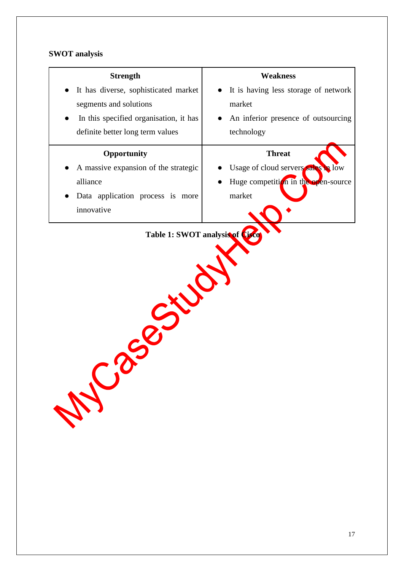# <span id="page-16-0"></span>**SWOT analysis**

| <b>Strength</b>                        | <b>Weakness</b>                      |
|----------------------------------------|--------------------------------------|
| It has diverse, sophisticated market   | It is having less storage of network |
| segments and solutions                 | market                               |
| In this specified organisation, it has | An inferior presence of outsourcing  |
| definite better long term values       | technology                           |
| Opportunity                            | <b>Threat</b>                        |
| A massive expansion of the strategic   | Usage of cloud servers sales in low  |
| alliance                               | Huge competition in the open-source  |
| Data application process is more       | market                               |
| innovative                             |                                      |
| 22.5%<br>WC2                           |                                      |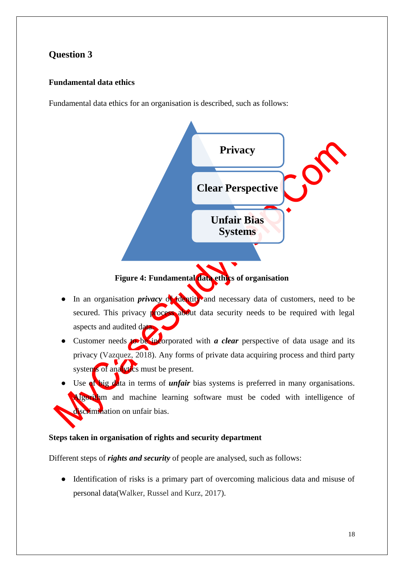# <span id="page-17-0"></span>**Question 3**

## <span id="page-17-1"></span>**Fundamental data ethics**

Fundamental data ethics for an organisation is described, such as follows:



- In an organisation *privacy* of identity and necessary data of customers, need to be secured. This privacy process about data security needs to be required with legal aspects and audited data.
- Customer needs to be incorporated with *a clear* perspective of data usage and its privacy (Vazquez, 2018). Any forms of private data acquiring process and third party systems of analytics must be present.
- Use of big data in terms of *unfair* bias systems is preferred in many organisations. Algorithm and machine learning software must be coded with intelligence of discrimination on unfair bias.

## <span id="page-17-2"></span>**Steps taken in organisation of rights and security department**

Different steps of *rights and security* of people are analysed, such as follows:

● Identification of risks is a primary part of overcoming malicious data and misuse of personal data(Walker, Russel and Kurz, 2017).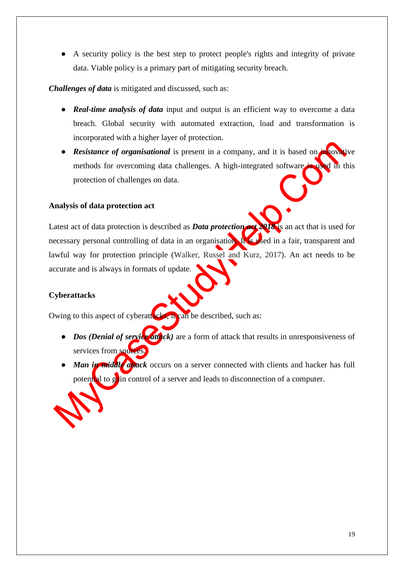● A security policy is the best step to protect people's rights and integrity of private data. Viable policy is a primary part of mitigating security breach.

*Challenges of data* is mitigated and discussed, such as:

- *Real-time analysis of data* input and output is an efficient way to overcome a data breach. Global security with automated extraction, load and transformation is incorporated with a higher layer of protection.
- *Resistance of organisational* is present in a company, and it is based on innovative methods for overcoming data challenges. A high-integrated software is used in this protection of challenges on data.

## <span id="page-18-0"></span>**Analysis of data protection act**

Latest act of data protection is described as *Data protection* and **2018** is an act that is used for necessary personal controlling of data in an organisation. It is used in a fair, transparent and lawful way for protection principle (Walker, Russel and Kurz, 2017). An act needs to be accurate and is always in formats of update.

# <span id="page-18-1"></span>**Cyberattacks**

Owing to this aspect of cyberattacks, it can be described, such as:

- *Dos (Denial of service attrick)* are a form of attack that results in unresponsiveness of services from sources.
- *Man in middle attack* occurs on a server connected with clients and hacker has full potential to gain control of a server and leads to disconnection of a computer.

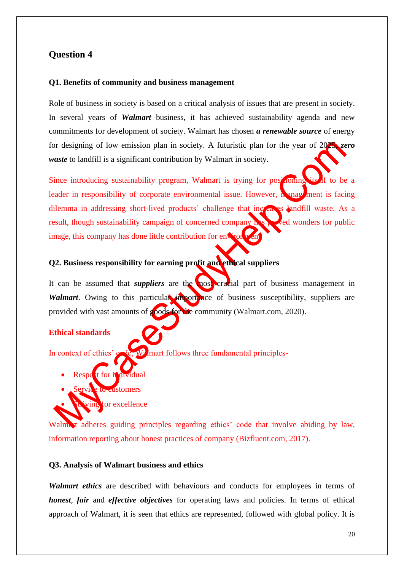# <span id="page-19-0"></span>**Question 4**

#### <span id="page-19-1"></span>**Q1. Benefits of community and business management**

Role of business in society is based on a critical analysis of issues that are present in society. In several years of *Walmart* business, it has achieved sustainability agenda and new commitments for development of society. Walmart has chosen *a renewable source* of energy for designing of low emission plan in society. A futuristic plan for the year of 2025, *zero waste* to landfill is a significant contribution by Walmart in society.

Since introducing sustainability program, Walmart is trying for positioning its of to be a leader in responsibility of corporate environmental issue. However, management is facing dilemma in addressing short-lived products' challenge that increases landfill waste. As a result, though sustainability campaign of concerned company has proved wonders for public image, this company has done little contribution for environment.

#### <span id="page-19-2"></span>**Q2. Business responsibility for earning profit and ethical suppliers**

It can be assumed that *suppliers* are the most crucial part of business management in *Walmart*. Owing to this particular importance of business susceptibility, suppliers are provided with vast amounts of goods for the community (Walmart.com, 2020).

## **Ethical standards**

In context of ethics'  $\alpha$  de, Walmart follows three fundamental principles-

- Respe<sup>t</sup>t for individual
- to customers
- for excellence

Walmart adheres guiding principles regarding ethics' code that involve abiding by law, information reporting about honest practices of company (Bizfluent.com, 2017).

#### <span id="page-19-3"></span>**Q3. Analysis of Walmart business and ethics**

*Walmart ethics* are described with behaviours and conducts for employees in terms of *honest*, *fair* and *effective objectives* for operating laws and policies. In terms of ethical approach of Walmart, it is seen that ethics are represented, followed with global policy. It is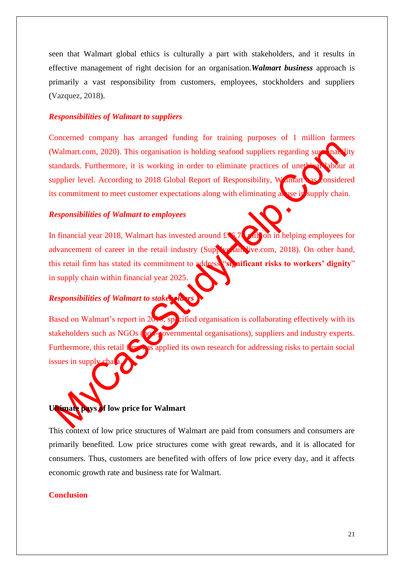seen that Walmart global ethics is culturally a part with stakeholders, and it results in effective management of right decision for an organisation.*Walmart business* approach is primarily a vast responsibility from customers, employees, stockholders and suppliers (Vazquez, 2018).

#### *Responsibilities of Walmart to suppliers*

Concerned company has arranged funding for training purposes of 1 million farmers (Walmart.com, 2020). This organisation is holding seafood suppliers regarding sugh inability standards. Furthermore, it is working in order to eliminate practices of unething labour at supplier level. According to 2018 Global Report of Responsibility, Walmart as considered its commitment to meet customer expectations along with eliminating abuse in supply chain.

#### *Responsibilities of Walmart to employees*

In financial year 2018, Walmart has invested around  $\mathcal{L}$  5.70 million in helping employees for advancement of career in the retail industry (Supplychain live.com, 2018). On other hand, this retail firm has stated its commitment to address "**significant risks to workers' dignity**" in supply chain within financial year 2025.

## *Responsibilities of Walmart to stakers*

Based on Walmart's report in  $20.16$ , specified organisation is collaborating effectively with its stakeholders such as NGOs (no. 4 povernmental organisations), suppliers and industry experts. Furthermore, this retail for this applied its own research for addressing risks to pertain social issues in supply

# <span id="page-20-0"></span>**Ultimate pays of low price for Walmart**

This context of low price structures of Walmart are paid from consumers and consumers are primarily benefited. Low price structures come with great rewards, and it is allocated for consumers. Thus, customers are benefited with offers of low price every day, and it affects economic growth rate and business rate for Walmart.

## **Conclusion**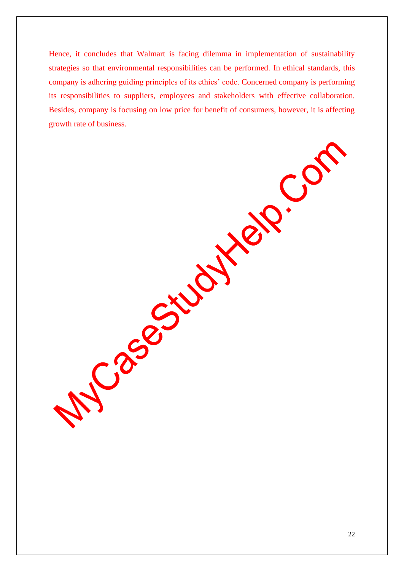Hence, it concludes that Walmart is facing dilemma in implementation of sustainability strategies so that environmental responsibilities can be performed. In ethical standards, this company is adhering guiding principles of its ethics' code. Concerned company is performing its responsibilities to suppliers, employees and stakeholders with effective collaboration. Besides, company is focusing on low price for benefit of consumers, however, it is affecting growth rate of business.

Case ciudities

CC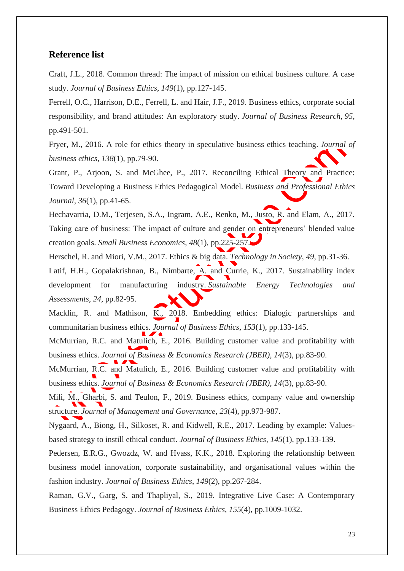## <span id="page-22-0"></span>**Reference list**

Craft, J.L., 2018. Common thread: The impact of mission on ethical business culture. A case study. *Journal of Business Ethics*, *149*(1), pp.127-145.

Ferrell, O.C., Harrison, D.E., Ferrell, L. and Hair, J.F., 2019. Business ethics, corporate social responsibility, and brand attitudes: An exploratory study. *Journal of Business Research*, *95*, pp.491-501.

Fryer, M., 2016. A role for ethics theory in speculative business ethics teaching. *Journal of business ethics*, *138*(1), pp.79-90.

Grant, P., Arjoon, S. and McGhee, P., 2017. Reconciling Ethical Theory and Practice: Toward Developing a Business Ethics Pedagogical Model. *Business and Professional Ethics Journal*, *36*(1), pp.41-65.

Hechavarria, D.M., Terjesen, S.A., Ingram, A.E., Renko, M., Justo, R. and Elam, A., 2017. Taking care of business: The impact of culture and gender on entrepreneurs' blended value creation goals. *Small Business Economics*, *48*(1), pp.225-257.

Herschel, R. and Miori, V.M., 2017. Ethics & big data. *Technology in Society*, *49*, pp.31-36.

Latif, H.H., Gopalakrishnan, B., Nimbarte, A. and Currie, K., 2017. Sustainability index development for manufacturing industry. *Sustainable Energy Technologies and Assessments*, *24*, pp.82-95.

Macklin, R. and Mathison, K., 2018. Embedding ethics: Dialogic partnerships and communitarian business ethics. *Journal of Business Ethics*, *153*(1), pp.133-145.

McMurrian, R.C. and Matulich, E., 2016. Building customer value and profitability with business ethics. *Journal of Business & Economics Research (JBER)*, *14*(3), pp.83-90.

McMurrian, R.C. and Matulich, E., 2016. Building customer value and profitability with business ethics. *Journal of Business & Economics Research (JBER)*, *14*(3), pp.83-90.

Mili, M., Gharbi, S. and Teulon, F., 2019. Business ethics, company value and ownership structure. *Journal of Management and Governance*, *23*(4), pp.973-987.

Nygaard, A., Biong, H., Silkoset, R. and Kidwell, R.E., 2017. Leading by example: Valuesbased strategy to instill ethical conduct. *Journal of Business Ethics*, *145*(1), pp.133-139.

Pedersen, E.R.G., Gwozdz, W. and Hvass, K.K., 2018. Exploring the relationship between business model innovation, corporate sustainability, and organisational values within the fashion industry. *Journal of Business Ethics*, *149*(2), pp.267-284.

Raman, G.V., Garg, S. and Thapliyal, S., 2019. Integrative Live Case: A Contemporary Business Ethics Pedagogy. *Journal of Business Ethics*, *155*(4), pp.1009-1032.